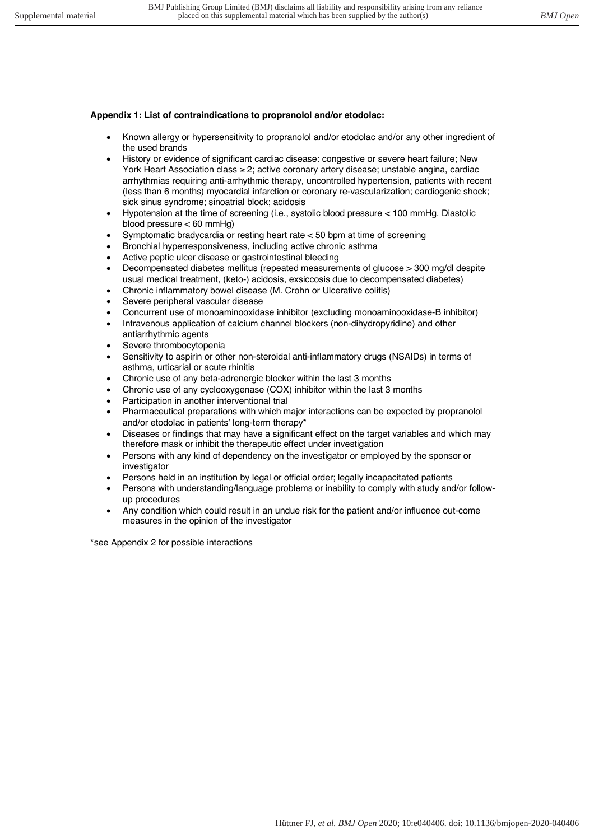## **Appendix 1: List of contraindications to propranolol and/or etodolac:**

- Known allergy or hypersensitivity to propranolol and/or etodolac and/or any other ingredient of the used brands
- History or evidence of significant cardiac disease: congestive or severe heart failure; New York Heart Association class ≥ 2; active coronary artery disease; unstable angina, cardiac arrhythmias requiring anti-arrhythmic therapy, uncontrolled hypertension, patients with recent (less than 6 months) myocardial infarction or coronary re-vascularization; cardiogenic shock; sick sinus syndrome; sinoatrial block; acidosis
- Hypotension at the time of screening (i.e., systolic blood pressure < 100 mmHg. Diastolic blood pressure < 60 mmHg)
- Symptomatic bradycardia or resting heart rate < 50 bpm at time of screening
- Bronchial hyperresponsiveness, including active chronic asthma
- Active peptic ulcer disease or gastrointestinal bleeding
- Decompensated diabetes mellitus (repeated measurements of glucose > 300 mg/dl despite usual medical treatment, (keto-) acidosis, exsiccosis due to decompensated diabetes)
- Chronic inflammatory bowel disease (M. Crohn or Ulcerative colitis)
- Severe peripheral vascular disease
- Concurrent use of monoaminooxidase inhibitor (excluding monoaminooxidase-B inhibitor)
- Intravenous application of calcium channel blockers (non-dihydropyridine) and other antiarrhythmic agents
- Severe thrombocytopenia
- Sensitivity to aspirin or other non-steroidal anti-inflammatory drugs (NSAIDs) in terms of asthma, urticarial or acute rhinitis
- Chronic use of any beta-adrenergic blocker within the last 3 months
- Chronic use of any cyclooxygenase (COX) inhibitor within the last 3 months
- Participation in another interventional trial
- Pharmaceutical preparations with which major interactions can be expected by propranolol and/or etodolac in patients' long-term therapy\*
- Diseases or findings that may have a significant effect on the target variables and which may therefore mask or inhibit the therapeutic effect under investigation
- Persons with any kind of dependency on the investigator or employed by the sponsor or investigator
- Persons held in an institution by legal or official order; legally incapacitated patients
- Persons with understanding/language problems or inability to comply with study and/or followup procedures
- Any condition which could result in an undue risk for the patient and/or influence out-come measures in the opinion of the investigator

\*see Appendix 2 for possible interactions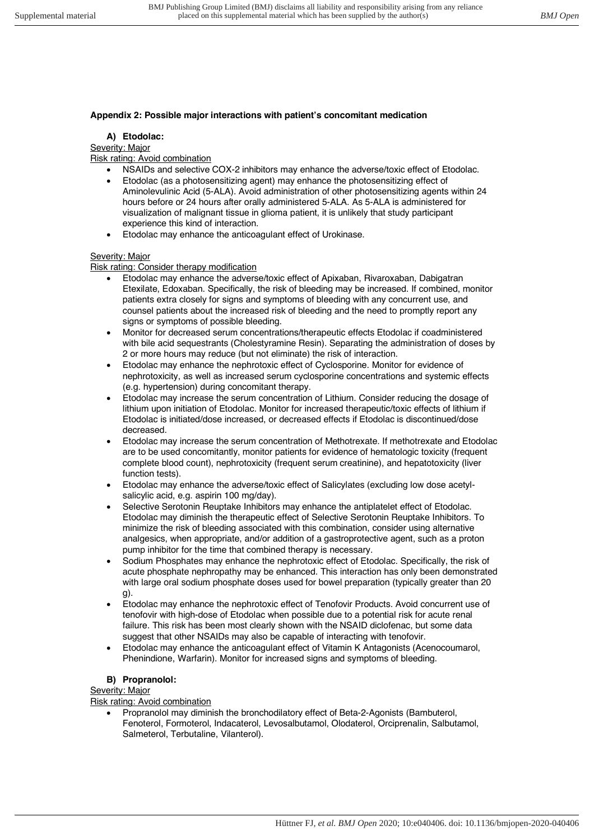### **Appendix 2: Possible major interactions with patient's concomitant medication**

#### **A) Etodolac:**

Severity: Major

Risk rating: Avoid combination

- NSAIDs and selective COX-2 inhibitors may enhance the adverse/toxic effect of Etodolac.
- Etodolac (as a photosensitizing agent) may enhance the photosensitizing effect of Aminolevulinic Acid (5-ALA). Avoid administration of other photosensitizing agents within 24 hours before or 24 hours after orally administered 5-ALA. As 5-ALA is administered for visualization of malignant tissue in glioma patient, it is unlikely that study participant experience this kind of interaction.
- Etodolac may enhance the anticoagulant effect of Urokinase.

### Severity: Major

Risk rating: Consider therapy modification

- Etodolac may enhance the adverse/toxic effect of Apixaban, Rivaroxaban, Dabigatran Etexilate, Edoxaban. Specifically, the risk of bleeding may be increased. If combined, monitor patients extra closely for signs and symptoms of bleeding with any concurrent use, and counsel patients about the increased risk of bleeding and the need to promptly report any signs or symptoms of possible bleeding.
- Monitor for decreased serum concentrations/therapeutic effects Etodolac if coadministered with bile acid sequestrants (Cholestyramine Resin). Separating the administration of doses by 2 or more hours may reduce (but not eliminate) the risk of interaction.
- Etodolac may enhance the nephrotoxic effect of Cyclosporine. Monitor for evidence of nephrotoxicity, as well as increased serum cyclosporine concentrations and systemic effects (e.g. hypertension) during concomitant therapy.
- Etodolac may increase the serum concentration of Lithium. Consider reducing the dosage of lithium upon initiation of Etodolac. Monitor for increased therapeutic/toxic effects of lithium if Etodolac is initiated/dose increased, or decreased effects if Etodolac is discontinued/dose decreased.
- Etodolac may increase the serum concentration of Methotrexate. If methotrexate and Etodolac are to be used concomitantly, monitor patients for evidence of hematologic toxicity (frequent complete blood count), nephrotoxicity (frequent serum creatinine), and hepatotoxicity (liver function tests).
- Etodolac may enhance the adverse/toxic effect of Salicylates (excluding low dose acetylsalicylic acid, e.g. aspirin 100 mg/day).
- Selective Serotonin Reuptake Inhibitors may enhance the antiplatelet effect of Etodolac. Etodolac may diminish the therapeutic effect of Selective Serotonin Reuptake Inhibitors. To minimize the risk of bleeding associated with this combination, consider using alternative analgesics, when appropriate, and/or addition of a gastroprotective agent, such as a proton pump inhibitor for the time that combined therapy is necessary.
- Sodium Phosphates may enhance the nephrotoxic effect of Etodolac. Specifically, the risk of acute phosphate nephropathy may be enhanced. This interaction has only been demonstrated with large oral sodium phosphate doses used for bowel preparation (typically greater than 20 g).
- Etodolac may enhance the nephrotoxic effect of Tenofovir Products. Avoid concurrent use of tenofovir with high-dose of Etodolac when possible due to a potential risk for acute renal failure. This risk has been most clearly shown with the NSAID diclofenac, but some data suggest that other NSAIDs may also be capable of interacting with tenofovir.
- Etodolac may enhance the anticoagulant effect of Vitamin K Antagonists (Acenocoumarol, Phenindione, Warfarin). Monitor for increased signs and symptoms of bleeding.

# **B) Propranolol:**

Severity: Major

Risk rating: Avoid combination

• Propranolol may diminish the bronchodilatory effect of Beta-2-Agonists (Bambuterol, Fenoterol, Formoterol, Indacaterol, Levosalbutamol, Olodaterol, Orciprenalin, Salbutamol, Salmeterol, Terbutaline, Vilanterol).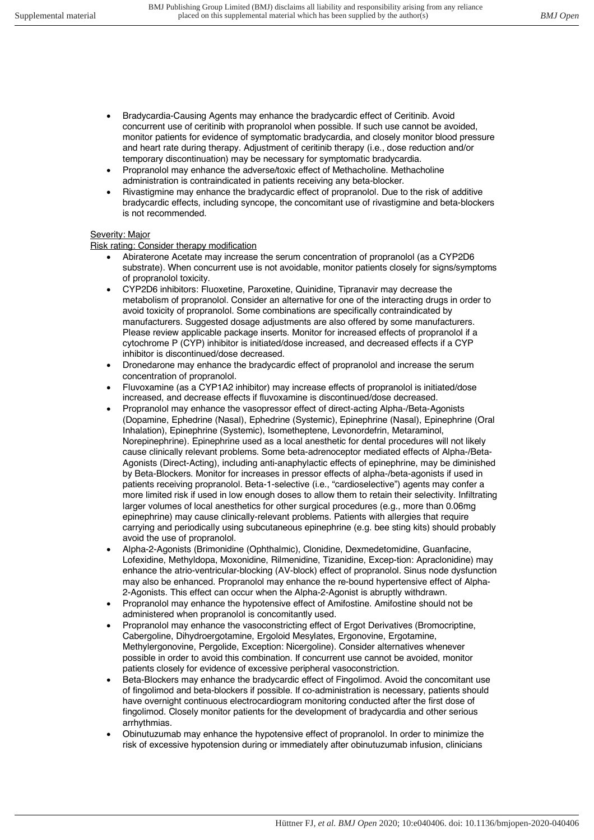- Bradycardia-Causing Agents may enhance the bradycardic effect of Ceritinib. Avoid concurrent use of ceritinib with propranolol when possible. If such use cannot be avoided, monitor patients for evidence of symptomatic bradycardia, and closely monitor blood pressure and heart rate during therapy. Adjustment of ceritinib therapy (i.e., dose reduction and/or temporary discontinuation) may be necessary for symptomatic bradycardia.
- Propranolol may enhance the adverse/toxic effect of Methacholine. Methacholine administration is contraindicated in patients receiving any beta-blocker.
- Rivastigmine may enhance the bradycardic effect of propranolol. Due to the risk of additive bradycardic effects, including syncope, the concomitant use of rivastigmine and beta-blockers is not recommended.

### Severity: Major

Risk rating: Consider therapy modification

- Abiraterone Acetate may increase the serum concentration of propranolol (as a CYP2D6 substrate). When concurrent use is not avoidable, monitor patients closely for signs/symptoms of propranolol toxicity.
- CYP2D6 inhibitors: Fluoxetine, Paroxetine, Quinidine, Tipranavir may decrease the metabolism of propranolol. Consider an alternative for one of the interacting drugs in order to avoid toxicity of propranolol. Some combinations are specifically contraindicated by manufacturers. Suggested dosage adjustments are also offered by some manufacturers. Please review applicable package inserts. Monitor for increased effects of propranolol if a cytochrome P (CYP) inhibitor is initiated/dose increased, and decreased effects if a CYP inhibitor is discontinued/dose decreased.
- Dronedarone may enhance the bradycardic effect of propranolol and increase the serum concentration of propranolol.
- Fluvoxamine (as a CYP1A2 inhibitor) may increase effects of propranolol is initiated/dose increased, and decrease effects if fluvoxamine is discontinued/dose decreased.
- Propranolol may enhance the vasopressor effect of direct-acting Alpha-/Beta-Agonists (Dopamine, Ephedrine (Nasal), Ephedrine (Systemic), Epinephrine (Nasal), Epinephrine (Oral Inhalation), Epinephrine (Systemic), Isometheptene, Levonordefrin, Metaraminol, Norepinephrine). Epinephrine used as a local anesthetic for dental procedures will not likely cause clinically relevant problems. Some beta-adrenoceptor mediated effects of Alpha-/Beta-Agonists (Direct-Acting), including anti-anaphylactic effects of epinephrine, may be diminished by Beta-Blockers. Monitor for increases in pressor effects of alpha-/beta-agonists if used in patients receiving propranolol. Beta-1-selective (i.e., "cardioselective") agents may confer a more limited risk if used in low enough doses to allow them to retain their selectivity. Infiltrating larger volumes of local anesthetics for other surgical procedures (e.g., more than 0.06mg epinephrine) may cause clinically-relevant problems. Patients with allergies that require carrying and periodically using subcutaneous epinephrine (e.g. bee sting kits) should probably avoid the use of propranolol.
- Alpha-2-Agonists (Brimonidine (Ophthalmic), Clonidine, Dexmedetomidine, Guanfacine, Lofexidine, Methyldopa, Moxonidine, Rilmenidine, Tizanidine, Excep-tion: Apraclonidine) may enhance the atrio-ventricular-blocking (AV-block) effect of propranolol. Sinus node dysfunction may also be enhanced. Propranolol may enhance the re-bound hypertensive effect of Alpha-2-Agonists. This effect can occur when the Alpha-2-Agonist is abruptly withdrawn.
- Propranolol may enhance the hypotensive effect of Amifostine. Amifostine should not be administered when propranolol is concomitantly used.
- Propranolol may enhance the vasoconstricting effect of Ergot Derivatives (Bromocriptine, Cabergoline, Dihydroergotamine, Ergoloid Mesylates, Ergonovine, Ergotamine, Methylergonovine, Pergolide, Exception: Nicergoline). Consider alternatives whenever possible in order to avoid this combination. If concurrent use cannot be avoided, monitor patients closely for evidence of excessive peripheral vasoconstriction.
- Beta-Blockers may enhance the bradycardic effect of Fingolimod. Avoid the concomitant use of fingolimod and beta-blockers if possible. If co-administration is necessary, patients should have overnight continuous electrocardiogram monitoring conducted after the first dose of fingolimod. Closely monitor patients for the development of bradycardia and other serious arrhythmias.
- Obinutuzumab may enhance the hypotensive effect of propranolol. In order to minimize the risk of excessive hypotension during or immediately after obinutuzumab infusion, clinicians